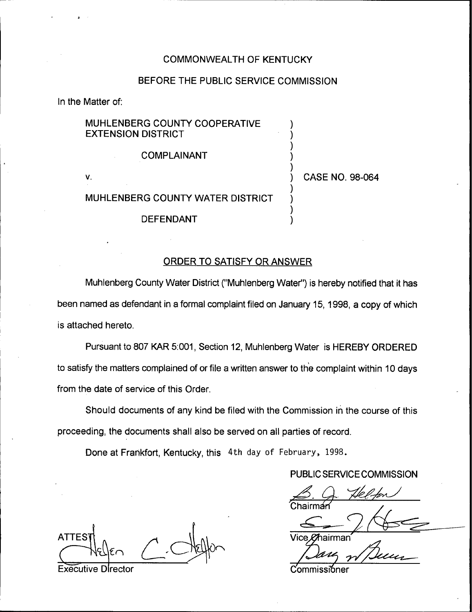### COMMONWEALTH OF KENTUCKY

### BEFORE THE PUBLIC SERVICE COMMISSION

In the Matter of;

# MUHLENBERG COUNTY COOPERATIVE EXTENSION DISTRICT

### COMPLAINANT

V.

# ) CASE NO, 98-064

 $\overline{\phantom{a}}$ )  $\overline{\phantom{a}}$  $\overline{\phantom{a}}$  $\overline{\mathcal{L}}$ 

 $\overline{\phantom{a}}$ )  $\overline{\mathcal{C}}$ )

## MUHLENBERG COUNTY WATER DISTRICT

DEFENDANT

### ORDER TO SATISFY OR ANSWER

Muhlenberg County Water District ("Muhlenberg Water") is hereby notified that it has been named as defendant in a formal complaint filed on January 15, 1998, a copy of which is attached hereto.

Pursuant to 807 KAR 5:001, Section 12, Muhlenberg Water is HEREBY ORDERED to satisfy the matters complained of or file a written answer to the complaint within 10 days from the date of service of this Order.

Should documents of any kind be filed with the Commission in the course of this proceeding, the documents shall also be served on all parties of record.

Done at Frarikfort, Kentucky, this 4th day of February, 1998.

# PUBLIC SERVICE COMMISSION

Vice *Of*hairmar

Executive Director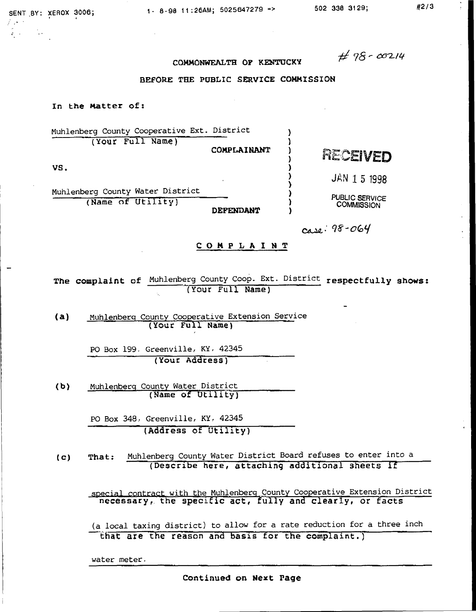)

) ) ) )<br>)

COMMONWEALTH OF KENTUCKY

 $# 98 - 00214$ 

#### BEFORE THE PUBLIC SERVICE COMMISSION

#### In the Matter of:

Nuhlenberg County Cooperative Ext. District ) (Your Full Name) ) COMPLAINANT

VS. )

Nuhlenberg County Water District (Name of Utility) **DEPENDANT**  JAN 1 5 1998

RECEIVED

PUBLIC SERVICE **COMMISSION** 

~.'f-ocof

COMP LA l NT

The complaint of Muhlenberg County Coop. Ext. District respectfully shows: (Your Full Name)

(a) Nuhlenberg County Cooperative Extension Service (Your Full Name)

> PO Box 199, Greenville, KY, 42345 (Your Address)

(b) Nuhlenberg County Water District (Name of Utility)

> PO Box 348; Greenville, KY, 42345 (Address of Utility)

(c) That: Nuhlenberg County Water District Board refuses to enter into <sup>a</sup> (Describe here, attaching additional sheets if

special contract with the Nuhlenberg County Cooperative Extension District necessary, the specific act, fully and clearly, or facts

(a local taxing district} to allow for a rate reduction for a three inch that are the reason and basis for the complaint.)

water meter.

Continued on Next Page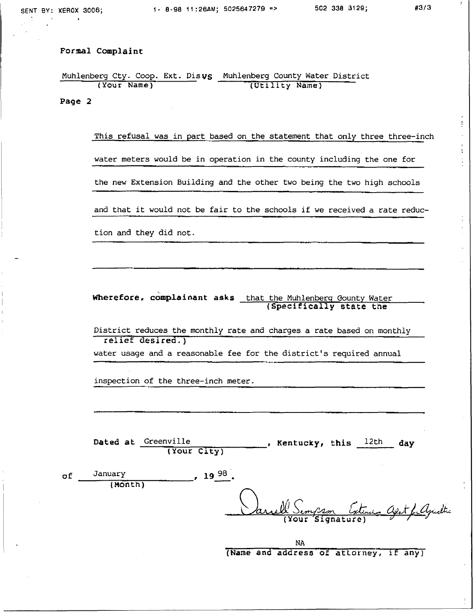$\ddot{\ddot{\cdot}}$ 

 $\tilde{\cdot}$ 

Muhlenberg Cty. Coop. Ext. Disvs Muhlenberg County Water Distric (Your Name) (Utility Name)

Page 2

This refusal was in part based on the statement that only three three-inch water meters would be in operation in the county including the one for the new Extension Building and the other two being the two high schools and that it would not be fair to the schools if we received <sup>a</sup> rate reduction and they did not.

Wherefore, complainant asks that the Muhlenberg Gounty Water (Specifically state the

District reduces the monthly rate and charges a rate based on monthly relief desired.)

water usage and a reasonable fee for the district's required annual

inspection of the three-inch meter.

| Dated at Greenville |             | . Kentucky, this $\frac{12th}{ }$ day |  |  |
|---------------------|-------------|---------------------------------------|--|--|
|                     | (Your City) |                                       |  |  |

| of | January | $.19^{98}$                              |
|----|---------|-----------------------------------------|
|    | (Month) |                                         |
|    |         | Varrell Sempson Extenion April ; Agrist |
|    |         |                                         |
|    |         |                                         |

NA (Name and address of attorney, if any)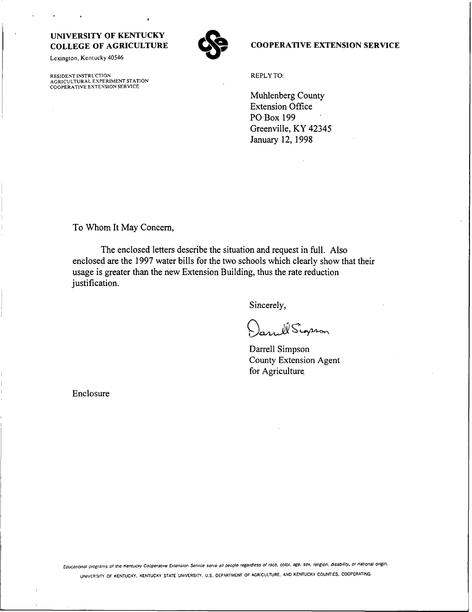Lexington, Kentucky 40546

RESIDENT INSTRUCTION AGRICULTURAL EXPERIMENT STATION COOPERATIVE EXTENSION SERVICE



#### COOPERATIVE EXTENSION SERVICE

REPLY TO:

Muhlenberg County Extension Office PO Box <sup>1</sup>99 Greenville, KY 42345 January 12, 1998

To Whom It May Concern,

The enclosed letters describe the situation and request in full. Also enclosed are the <sup>1</sup> 997 water bills for the two schools which clearly show that their usage is greater than the new Extension Building, thus the rate reduction justification.

Sincerely,

 $\bigcirc$ WSignson

Darrell Simpson County Extension Agent for Agriculture

Enclosure

Educational programs of the Kentucky Cooperative Extension Service serve all people regardless of race, color, age, sex, religion, disability, or national origin. UNIVERSiTY OF KENTUCKY, KENTUCKY STATE UNIVERSITY, <sup>U</sup> S, DEPARTMENT OF AGRICULTURE, AND KENTUCKY COUNTIES, COOPERATING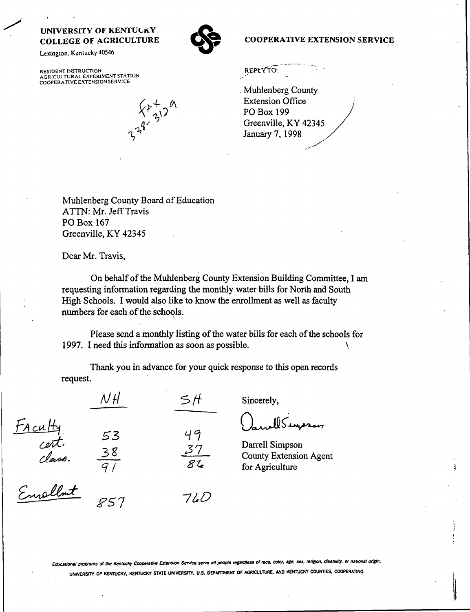Lexington, Kentucky 40546

RESIDENT INSTRUCTION<br>AGRICULTURAL EXPERIMENT STATION<br>COOPERATIVE EXTENSION SERVICE

 $X^p+2^q$ 

**COOPERATIVE EXTENSION SERVICE** 

REPLYTO:

Muhlenberg County **Extension Office PO Box 199** Greenville, KY 42345 January 7, 1998

Muhlenberg County Board of Education ATTN: Mr. Jeff Travis PO Box 167 Greenville, KY 42345

Dear Mr. Travis,

On behalf of the Muhlenberg County Extension Building Committee, I am requesting information regarding the monthly water bills for North and South High Schools. I would also like to know the enrollment as well as faculty numbers for each of the schools.

Please send a monthly listing of the water bills for each of the schools for 1997. I need this information as soon as possible.

Thank you in advance for your quick response to this open records request.

SH

49

 $7/4D$ 

Sincerely,

WSincron

Darrell Simpson **County Extension Agent** for Agriculture

FAculty<br>Cent.<br>Envollent

 $N$ H

53

Educational programs of the Kentucky Cooperative Extension Service serve all people regardless of race, color, age, sex, religion, disability, or national origin, UNIVERSITY OF KENTUCKY, KENTUCKY STATE UNIVERSITY, U.S. DEPARTMENT OF AGRICULTURE, AND KENTUCKY COUNTIES, COOPERATING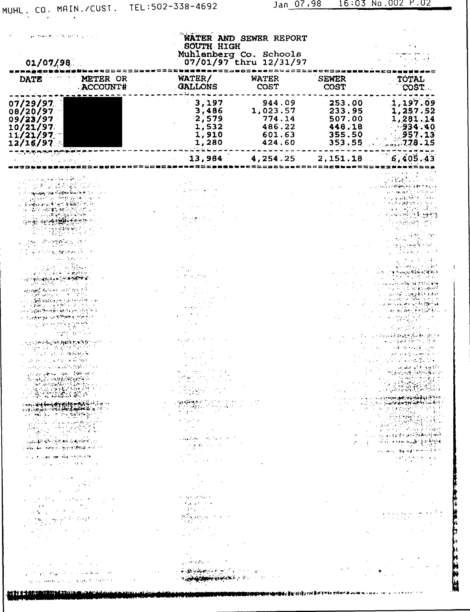计计算 医神经病 医神经病毒

| there we are the development<br>01/07/98                                                                                                                                                                                                                                                                                                                                                                                                                                                                                                                                                                                                                                                                                                                                                                                                                                                                                                                                                                                                                                                                                                                                                                                                                                                                                                                                                                                                                                                                                                                                                                                                                                                                                                                                                                                                                                                                                                                                                                                                                                                           | <b>SOUTH HIGH</b><br>Muhlenberg Co. Schools<br>07/01/97 thru 12/31/97                                                                                                                                                                                                                                                                                                                                                                                                                                                                                                                                                                                                                                                                                                                                                                                                                                                                                                                                                                                                                                                                                                                                                                                                                                                                                                                                                                                                                 | WATER AND SEWER REPORT                                     |                                                                                                                                                                      |                                                                                                                                                                                                                                                                                                                                                                                                                                                                                                                                                                                                                                                                                                                                                                                                                                                                                                                                                                                                                                                                                 |
|----------------------------------------------------------------------------------------------------------------------------------------------------------------------------------------------------------------------------------------------------------------------------------------------------------------------------------------------------------------------------------------------------------------------------------------------------------------------------------------------------------------------------------------------------------------------------------------------------------------------------------------------------------------------------------------------------------------------------------------------------------------------------------------------------------------------------------------------------------------------------------------------------------------------------------------------------------------------------------------------------------------------------------------------------------------------------------------------------------------------------------------------------------------------------------------------------------------------------------------------------------------------------------------------------------------------------------------------------------------------------------------------------------------------------------------------------------------------------------------------------------------------------------------------------------------------------------------------------------------------------------------------------------------------------------------------------------------------------------------------------------------------------------------------------------------------------------------------------------------------------------------------------------------------------------------------------------------------------------------------------------------------------------------------------------------------------------------------------|---------------------------------------------------------------------------------------------------------------------------------------------------------------------------------------------------------------------------------------------------------------------------------------------------------------------------------------------------------------------------------------------------------------------------------------------------------------------------------------------------------------------------------------------------------------------------------------------------------------------------------------------------------------------------------------------------------------------------------------------------------------------------------------------------------------------------------------------------------------------------------------------------------------------------------------------------------------------------------------------------------------------------------------------------------------------------------------------------------------------------------------------------------------------------------------------------------------------------------------------------------------------------------------------------------------------------------------------------------------------------------------------------------------------------------------------------------------------------------------|------------------------------------------------------------|----------------------------------------------------------------------------------------------------------------------------------------------------------------------|---------------------------------------------------------------------------------------------------------------------------------------------------------------------------------------------------------------------------------------------------------------------------------------------------------------------------------------------------------------------------------------------------------------------------------------------------------------------------------------------------------------------------------------------------------------------------------------------------------------------------------------------------------------------------------------------------------------------------------------------------------------------------------------------------------------------------------------------------------------------------------------------------------------------------------------------------------------------------------------------------------------------------------------------------------------------------------|
| <b>DATE</b><br>METER OR<br>ACCOUNT#                                                                                                                                                                                                                                                                                                                                                                                                                                                                                                                                                                                                                                                                                                                                                                                                                                                                                                                                                                                                                                                                                                                                                                                                                                                                                                                                                                                                                                                                                                                                                                                                                                                                                                                                                                                                                                                                                                                                                                                                                                                                | WATER/<br><b>GALLONS</b>                                                                                                                                                                                                                                                                                                                                                                                                                                                                                                                                                                                                                                                                                                                                                                                                                                                                                                                                                                                                                                                                                                                                                                                                                                                                                                                                                                                                                                                              | <b>WATER</b><br>COST                                       | <b>SEWER</b><br>COST                                                                                                                                                 | TOTAL<br>COST.                                                                                                                                                                                                                                                                                                                                                                                                                                                                                                                                                                                                                                                                                                                                                                                                                                                                                                                                                                                                                                                                  |
| 07/29/97<br>08/20/97<br>09/23/97<br>10/21/97<br>11/21/97<br>12/16/97                                                                                                                                                                                                                                                                                                                                                                                                                                                                                                                                                                                                                                                                                                                                                                                                                                                                                                                                                                                                                                                                                                                                                                                                                                                                                                                                                                                                                                                                                                                                                                                                                                                                                                                                                                                                                                                                                                                                                                                                                               | 3,197<br>3,486<br>2,579<br>1,532<br>1,910<br>1,280                                                                                                                                                                                                                                                                                                                                                                                                                                                                                                                                                                                                                                                                                                                                                                                                                                                                                                                                                                                                                                                                                                                                                                                                                                                                                                                                                                                                                                    | 944.09<br>1,023.57<br>774.14<br>486.22<br>601.63<br>424.60 | 253.00<br>233.95<br>507.00<br>448.18<br>355.50<br>353.55                                                                                                             | 1,197.09<br>1,257.52<br>1,281.14<br>$-934.40$<br>.957.13<br>$778 - 15$                                                                                                                                                                                                                                                                                                                                                                                                                                                                                                                                                                                                                                                                                                                                                                                                                                                                                                                                                                                                          |
| つみこす みをせる トラ                                                                                                                                                                                                                                                                                                                                                                                                                                                                                                                                                                                                                                                                                                                                                                                                                                                                                                                                                                                                                                                                                                                                                                                                                                                                                                                                                                                                                                                                                                                                                                                                                                                                                                                                                                                                                                                                                                                                                                                                                                                                                       | 13,984                                                                                                                                                                                                                                                                                                                                                                                                                                                                                                                                                                                                                                                                                                                                                                                                                                                                                                                                                                                                                                                                                                                                                                                                                                                                                                                                                                                                                                                                                | 4,254.25                                                   | 2,151.18                                                                                                                                                             | 6,405.43                                                                                                                                                                                                                                                                                                                                                                                                                                                                                                                                                                                                                                                                                                                                                                                                                                                                                                                                                                                                                                                                        |
| برزاقوك فلإبراجية وسادره<br>医运动时控制器<br>manag nga Kabupatèn Ing<br>化乙酰苯甲酸 医阿拉伯氏征<br>ે કેપ્ટન્સિયા કર્યું કે પ્રમુખ કે પ્રેસિવર્ટ જોઈ.<br>ડેપ - પેટેલ કેપ્ટેસ્ટિક સ્વાર્ટ કે ટ્રેસ ટે ટ્રેસ<br>$\label{eq:3} \frac{1}{2} \cos \frac{\pi}{2} \frac{1}{2} \sum_{i=1}^n \frac{1}{2} \left( \frac{1}{2} \frac{1}{2} \frac{1}{2} \frac{1}{2} \frac{1}{2} \frac{1}{2} \frac{1}{2} \right) \sin \frac{\pi}{2} \, .$<br>A Pilot<br>se el siste, desen<br>स्तुत्व <del>स्</del> ट्री किञ्चन चलते सम्राटने त<br>SS SALAR REPORT OF THE ST<br>المنافذ العاملية والمعارض<br>لمحاوية والمروق والمهجرة والإراد<br>لأمام وحملاتهم ووموجب والمنا<br>્યાન માટે કે જે પ્રાથમિક વિદેશ કરી છે. જે પ્રાથમિક વિદેશના પ્રાથમિક વિદેશના માટે પ્રાથમિક વિદેશના માટે પ્રાથમિ<br>વિદેશના પ્રાથમિક વિદેશના પ્રાથમિક વિદેશના પ્રાથમિક વિદેશના પ્રાથમિક વિદેશના પ્રાથમિક વિદેશના પ્રાથમિક વિદેશના<br>300 A 동일 작품 중요<br>기타 동일<br>ો ગામ છે. આ ગામમાં આવેલું એક<br>London Company of the State State<br>الجراح والموجود والأمراء والرابي والمرادات<br>vollengen i 1968 i<br>કેર એક્ટર સ્વામિત્રણ સમય ર<br>والمستوفية والمتعارضة والمتناقصة المعارب<br>ધ્યાનીક કેપ્રેગ્રેટેને એપ કેપ્લ લ<br><b>上海開始統立統</b> 所。<br>તેને અને ફેસ્ટ કરી છે. એક એક વિચાર કરી છે.<br>್ರಾಜರ್ಫೇಟ್ ಪ್ರಕರಣ ಕೆತ್ತರ್ಜಿಲ್ ಎಂ<br>िर्वित के अनुसार मुस्ल <b>्लाह</b> तके ए<br>A GUN LOOK AND AN OFFICIAL ATT<br>$\epsilon \epsilon = \omega \epsilon$ , and $\omega \epsilon \approx 2.5$ , and<br>$\mathcal{A}^{\mathcal{A}}$ and $\mathcal{A}^{\mathcal{A}}$ are the set of the set of $\mathcal{A}^{\mathcal{A}}$<br>$\mathcal{L}(\mathcal{L}(\mathcal{A}))$ is a subset of the set of $\mathcal{L}(\mathcal{L}(\mathcal{A}))$ . Then<br>$\label{eq:2.1} \mathcal{L}(\mathcal{L}^{\mathcal{L}}(\mathcal{L}^{\mathcal{L}})) = \mathcal{L}(\mathcal{L}^{\mathcal{L}}(\mathcal{L}^{\mathcal{L}}))$<br>$\label{eq:2.1} \mathcal{L}(\mathcal{L}^{\mathcal{L}}(\mathcal{L}^{\mathcal{L}})) = \mathcal{L}(\mathcal{L}^{\mathcal{L}}(\mathcal{L}^{\mathcal{L}}))$<br>$\mathcal{L}_{\text{max}} = \mathcal{H}(\mathcal{L}_{\text{max}})$ , where $\mathcal{L}_{\text{max}}$ | $\sim$<br>医原子 医牙<br>$\label{eq:2} \mathcal{L} = \frac{1}{2} \sum_{i=1}^n \mathcal{L}^i \mathcal{L}^i \mathcal{L}^i \mathcal{L}^i \mathcal{L}^i \mathcal{L}^i \mathcal{L}^i \mathcal{L}^i \mathcal{L}^i \mathcal{L}^i \mathcal{L}^i \mathcal{L}^i \mathcal{L}^i \mathcal{L}^i \mathcal{L}^i \mathcal{L}^i \mathcal{L}^i \mathcal{L}^i \mathcal{L}^i \mathcal{L}^i \mathcal{L}^i \mathcal{L}^i \mathcal{L}^i \mathcal{L}$<br>a na <mark>shekar</mark> a ta 1970 na kata 1970.<br>Na kata 1970 na kata 1970 na kata 1970<br>$\label{eq:2} \mathcal{F}(\mathbf{y},\mathbf{y},\mathbf{y}) = \mathcal{F}(\mathbf{y},\mathbf{y})$<br>$\mathcal{L}^{\mathcal{L}}(\mathcal{L}^{\mathcal{L}})$ , where $\mathcal{L}^{\mathcal{L}}(\mathcal{L}^{\mathcal{L}})$<br>$\label{eq:2} \mathcal{L}^{\text{max}}_{\text{max}}(\mathcal{L}^{\text{max}}_{\text{max}})$<br>$\begin{split} \mathcal{L}_{\mathcal{F}} & = \mathcal{L}_{\mathcal{F}} \mathcal{L}_{\mathcal{F}} \mathcal{L}_{\mathcal{F}} \mathcal{L}_{\mathcal{F}} \mathcal{L}_{\mathcal{F}} \mathcal{L}_{\mathcal{F}} \mathcal{L}_{\mathcal{F}} \mathcal{L}_{\mathcal{F}} \mathcal{L}_{\mathcal{F}} \mathcal{L}_{\mathcal{F}} \mathcal{L}_{\mathcal{F}} \mathcal{L}_{\mathcal{F}} \mathcal{L}_{\mathcal{F}} \mathcal{L}_{\mathcal{F}} \mathcal{L}_{\mathcal{F}} \mathcal{L}_{\mathcal{F}} \mathcal{L}_{\mathcal$<br>$\frac{1}{2}$ , and the second contribution<br>skilled and the state<br>医心静脉 化汽油油<br><b>State State State</b><br>しずきょうそう |                                                            | $\mathbb{R}^n$                                                                                                                                                       | <b>Company Protection</b><br>i vizmen BSA ji drat<br>po do derech katolika.<br>: 1994ع) في البراطانية بالمستقرة.<br>المستقرأة معاونة في المستقرئة المستقرة<br>يمون تبارها<br>ා පොල්බියිය කියල් වුණ විශාලිප්<br>ાર પ્રાપ્ય પ્રાપ્ય પ્રમાણ અને વાર્ય છે. આ વિસ્તાર કરી કે દૂધ કરે છે.<br>સંસ્કૃતિ<br>ે પ્રાપ્ત કરવામાં પ્રાપ્ત કરી અને અને જો એક સ્થાનિક કરી છે. આ ગામમાં પ્રાપ્ત કરવામાં આવે છે. આ ગામમાં પ્રાપ્ત ક<br><b>第5000</b><br>a series of the series of the<br>ા પર પાક પણ કરવામાં કેવા પ્રવર્ગ જિલ્લાઓ <del>જ</del> ોતી<br>$\label{eq:2} \mathcal{L}(\mathcal{L}_{\mathcal{A}}) = \mathcal{L}(\mathcal{A} \otimes \mathcal{L}_{\mathcal{A}}) = \frac{1}{2} \sum_{i=1}^n \frac{1}{2} \sum_{j=1}^n \frac{1}{2} \sum_{j=1}^n \frac{1}{2} \sum_{j=1}^n \frac{1}{2} \sum_{j=1}^n \frac{1}{2} \sum_{j=1}^n \frac{1}{2} \sum_{j=1}^n \frac{1}{2} \sum_{j=1}^n \frac{1}{2} \sum_{j=1}^n \frac{1}{2} \sum_{j=1}^n \frac{1$<br>والكاليات فتعاقلها والمتلوث وتباهدونا<br>$\label{eq:2} \begin{split} \mathcal{P}(X) = \mathcal{P}(X) \mathcal{P}(X) = \mathcal{P}(X) \end{split}$ |
| $\label{eq:2.1} \mathcal{L}(\mathcal{L}_{\mathcal{A}}) = \mathcal{L}(\mathcal{L}_{\mathcal{A}}) = \mathcal{L}(\mathcal{L}_{\mathcal{A}}) = \mathcal{L}(\mathcal{L}_{\mathcal{A}})$<br>$\label{eq:2.1} \begin{split} \mathcal{L}^{(1)}\left(\mathbf{r},\mathbf{r}\right) & = \mathcal{L}^{(1)}\left(\mathbf{r},\mathbf{r}\right) + \mathcal{L}^{(2)}\left(\mathbf{r},\mathbf{r}\right) + \mathcal{L}^{(1)}\left(\mathbf{r},\mathbf{r}\right) \\ & = \mathcal{L}^{(1)}\left(\mathbf{r},\mathbf{r}\right) + \mathcal{L}^{(1)}\left(\mathbf{r},\mathbf{r}\right) + \mathcal{L}^{(2)}\left(\mathbf{r},\mathbf{r}\right) \\ & = \mathcal{L}^{(1)}\left$<br>$\mathcal{O}(\mathcal{O}(\log n)$ , we have a set $\mathcal{O}(\log n)$<br>$\mathcal{A}^{\mathcal{A}}$ , where $\mathcal{A}^{\mathcal{A}}$ and $\mathcal{A}^{\mathcal{A}}$                                                                                                                                                                                                                                                                                                                                                                                                                                                                                                                                                                                                                                                                                                                                                                                                                                                                                                                                                                                                                                                                                                                                                                                                                                                                    | et in 1<br>Here and the state of<br>$\mathcal{F}(\mathcal{F}_1,\mathcal{F}_2)$ . The set of $\mathcal{F}_1$<br><b>Construction</b><br>$\mu$ , $\mu$ , $\mu$ , $\mu$ , $\mu$ , $\mu$<br><b>Contract</b>                                                                                                                                                                                                                                                                                                                                                                                                                                                                                                                                                                                                                                                                                                                                                                                                                                                                                                                                                                                                                                                                                                                                                                                                                                                                                |                                                            |                                                                                                                                                                      | and something and the state<br><b>Service Started</b>                                                                                                                                                                                                                                                                                                                                                                                                                                                                                                                                                                                                                                                                                                                                                                                                                                                                                                                                                                                                                           |
| state and the control of the control<br>and an expression experience<br>经国际网络经济 经公司保险收货 网络阿拉伯人                                                                                                                                                                                                                                                                                                                                                                                                                                                                                                                                                                                                                                                                                                                                                                                                                                                                                                                                                                                                                                                                                                                                                                                                                                                                                                                                                                                                                                                                                                                                                                                                                                                                                                                                                                                                                                                                                                                                                                                                     | $\sim 10^{-10}$<br>$\sim$ $\sim$<br>$\sim 100$ GPA $\sim 10^{-10}$<br>$\label{eq:1} \mathcal{L}(\mathcal{L}) = \mathcal{L}(\mathbf{X}) + \mathcal{L}(\mathbf{X}) + \mathcal{L}(\mathbf{X}) + \mathcal{L}(\mathbf{X}) + \mathcal{L}(\mathbf{X}) + \mathcal{L}(\mathbf{X}) + \mathcal{L}(\mathbf{X}) + \mathcal{L}(\mathbf{X}) + \mathcal{L}(\mathbf{X}) + \mathcal{L}(\mathbf{X}) + \mathcal{L}(\mathbf{X}) + \mathcal{L}(\mathbf{X}) + \mathcal{L}(\mathbf{X}) + \mathcal{L}(\mathbf{X}) + \mathcal{L}(\mathbf{X}) + \mathcal{L$<br><b>Contract Super Version Contract of the Contract of Section</b>                                                                                                                                                                                                                                                                                                                                                                                                                                                                                                                                                                                                                                                                                                                                                                                                                                                                                 |                                                            | <b>Contract</b><br>$\sim 100$ km s $^{-1}$<br><b>DEN MANARE STANDARD AND A STANDARD AND A STANDARD AND A STANDARD AND A STANDARD AND A STANDARD AND A STANDARD A</b> | <b>Contractor</b>                                                                                                                                                                                                                                                                                                                                                                                                                                                                                                                                                                                                                                                                                                                                                                                                                                                                                                                                                                                                                                                               |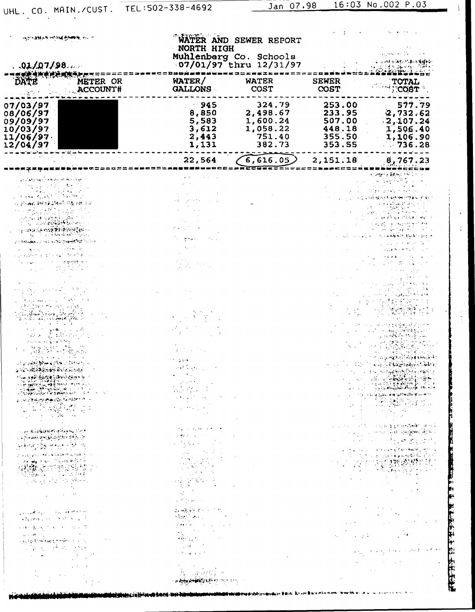$\ddot{\cdot}$ 

**医性质血红素 医上部心理 法一方法的法律** 

| ondoor the second Content on a<br>.91/07/98                                                                                                                                                                                                                                                                                                                                                                                                                 | WATER AND SEWER REPORT<br>NORTH HIGH<br>Muhlenbarg Co. Schools<br>07/01/97 thru 12/31/97                                                                                                                                                                                                                                                                                                                                                                                                                                                                                                                                                                |                                                                |                                                          | 主义的 化对称乙酮丙醇酸                                                                                                                                                                                                                                                                                |  |
|-------------------------------------------------------------------------------------------------------------------------------------------------------------------------------------------------------------------------------------------------------------------------------------------------------------------------------------------------------------------------------------------------------------------------------------------------------------|---------------------------------------------------------------------------------------------------------------------------------------------------------------------------------------------------------------------------------------------------------------------------------------------------------------------------------------------------------------------------------------------------------------------------------------------------------------------------------------------------------------------------------------------------------------------------------------------------------------------------------------------------------|----------------------------------------------------------------|----------------------------------------------------------|---------------------------------------------------------------------------------------------------------------------------------------------------------------------------------------------------------------------------------------------------------------------------------------------|--|
| METER OR                                                                                                                                                                                                                                                                                                                                                                                                                                                    | WATER/                                                                                                                                                                                                                                                                                                                                                                                                                                                                                                                                                                                                                                                  | <b>WATER</b>                                                   | <b>SEWER</b>                                             |                                                                                                                                                                                                                                                                                             |  |
| ACCOUNT#                                                                                                                                                                                                                                                                                                                                                                                                                                                    | GALLONS -                                                                                                                                                                                                                                                                                                                                                                                                                                                                                                                                                                                                                                               | <b>COST</b>                                                    | COST                                                     | TOTAL<br>COST:                                                                                                                                                                                                                                                                              |  |
| 07/03/97<br>08/06/97<br>09/09/97<br>10/03/97<br>$11/06/97$<br>12/04/97                                                                                                                                                                                                                                                                                                                                                                                      | $-945$<br>8,850<br>5,583<br>3,612<br>2,443<br>1,131                                                                                                                                                                                                                                                                                                                                                                                                                                                                                                                                                                                                     | 324.79<br>2,498.67<br>1,600.24<br>1,058.22<br>751.40<br>382.73 | 253.00<br>233.95<br>507.00<br>448.18<br>355.50<br>353.55 | 577.79<br>2,732.62<br>2,107.24<br>1,506.40<br>1,106.90<br>736.28                                                                                                                                                                                                                            |  |
|                                                                                                                                                                                                                                                                                                                                                                                                                                                             | 22,564                                                                                                                                                                                                                                                                                                                                                                                                                                                                                                                                                                                                                                                  | 6,616.05)                                                      | 2,151.18                                                 | 8,767.23                                                                                                                                                                                                                                                                                    |  |
|                                                                                                                                                                                                                                                                                                                                                                                                                                                             |                                                                                                                                                                                                                                                                                                                                                                                                                                                                                                                                                                                                                                                         |                                                                |                                                          | <b>Service Monter</b>                                                                                                                                                                                                                                                                       |  |
| والمنافع والمتناقب لتعميلهم والمتعارض ومترافق والمراد<br>રાખિયાના ઉત્તર દઈ હરિયાની પરિદેશ રહેશ વાંચ<br>$\label{eq:2} \mathcal{L}_{\mathcal{B}}(\mathcal{L}_{\mathcal{B}}) = \mathcal{L}_{\mathcal{B}}(\mathcal{L}_{\mathcal{B}}) + \mathcal{L}_{\mathcal{B}}(\mathcal{L}_{\mathcal{B}}) + \mathcal{L}_{\mathcal{B}}(\mathcal{L}_{\mathcal{B}})$<br>ද කෙර දින <b>ත්රම්ව වර</b> ද්දේ (Ch                                                                      |                                                                                                                                                                                                                                                                                                                                                                                                                                                                                                                                                                                                                                                         |                                                                |                                                          |                                                                                                                                                                                                                                                                                             |  |
| ZIE BROWNER HAD NATIONAL POWER TO THE                                                                                                                                                                                                                                                                                                                                                                                                                       | <b>State</b>                                                                                                                                                                                                                                                                                                                                                                                                                                                                                                                                                                                                                                            |                                                                |                                                          |                                                                                                                                                                                                                                                                                             |  |
| $\alpha$ , $\alpha$ , $\alpha$<br>後の人<br>geographical and companies that are                                                                                                                                                                                                                                                                                                                                                                                |                                                                                                                                                                                                                                                                                                                                                                                                                                                                                                                                                                                                                                                         |                                                                |                                                          |                                                                                                                                                                                                                                                                                             |  |
|                                                                                                                                                                                                                                                                                                                                                                                                                                                             | エナキャー<br>医环形的                                                                                                                                                                                                                                                                                                                                                                                                                                                                                                                                                                                                                                           |                                                                |                                                          |                                                                                                                                                                                                                                                                                             |  |
| للافتال والكاري والمطول الأوران وال<br>ومسالمه أوالمهاجرة والمتجار<br>းမျှ မွန်းရှိတွန်းအလုံးများများ<br>ကိုးမြှင့်ရှိတွေ့နှိုင်းများ အလုပ်က<br>المستحار المتواطن والمتحاول والمهابات<br>मोर्चकोलिस्टेडिया <b>जिल्लामा से</b> से लिए होता. या तात                                                                                                                                                                                                           | $\mathcal{L}(\mathcal{L}^{\text{max}}_{\mathcal{L}})$ and $\mathcal{L}^{\text{max}}_{\mathcal{L}}$<br>a ang pangkalang.<br>Talam manalang                                                                                                                                                                                                                                                                                                                                                                                                                                                                                                               |                                                                |                                                          | $\varphi$ is equal to $\varphi$ .<br>သေ့ အာရှေ့ဒါ ၃ ခုနှစ် နှစ် ၈ ခုနှစ်<br>$\mathbf{g}_{\mathcal{A}}(\mathbf{g}_{\mathcal{A}}) = \mathbf{1}_{\mathcal{A}}(\mathbf{g}_{\mathcal{A}}) \mathbf{1}_{\mathcal{A}}(\mathbf{g}_{\mathcal{A}}) \mathbf{1}_{\mathcal{A}}(\mathbf{g}_{\mathcal{A}})$ |  |
|                                                                                                                                                                                                                                                                                                                                                                                                                                                             | $\mathcal{L}$ . The set of the set of $\mathcal{L}$                                                                                                                                                                                                                                                                                                                                                                                                                                                                                                                                                                                                     |                                                                |                                                          |                                                                                                                                                                                                                                                                                             |  |
|                                                                                                                                                                                                                                                                                                                                                                                                                                                             | $\mathcal{F}_{\mathbf{A}}$ , and $\mathcal{F}_{\mathbf{A}}$ for the $\mathcal{F}_{\mathbf{A}}$ , $\mathcal{F}_{\mathbf{A}}$                                                                                                                                                                                                                                                                                                                                                                                                                                                                                                                             |                                                                |                                                          | and the contribution of a provident provide                                                                                                                                                                                                                                                 |  |
| ા હતું. મહિન્દ્રો દરમાણ કે મુખ્ય પ્રદેશ તેનું છે.<br>" પણ જાણા વાર્દાણ કે દુરમાણ કે દરમાણ કે દુરમાણ<br>به الأرمية للمؤرخة.<br>and application of a state of the state of                                                                                                                                                                                                                                                                                    | $\mathcal{A}$ gas for an experimental $\mathcal{A}$                                                                                                                                                                                                                                                                                                                                                                                                                                                                                                                                                                                                     |                                                                |                                                          | a sa sa sa taong pagkang kana<br>人名加尔科 网络异常数学的<br>والتهار فكمعتبث كومور كالداران والأواوي                                                                                                                                                                                                   |  |
|                                                                                                                                                                                                                                                                                                                                                                                                                                                             | $\begin{aligned} \frac{\partial}{\partial t} \left( \frac{\partial}{\partial t} \right)^2 & = \frac{\partial}{\partial t} \left( \frac{\partial}{\partial t} \right)^2 & = \frac{\partial}{\partial t} \left( \frac{\partial}{\partial t} \right)^2 & = \frac{\partial}{\partial t} \left( \frac{\partial}{\partial t} \right)^2 & = \frac{\partial}{\partial t} \left( \frac{\partial}{\partial t} \right)^2 & = \frac{\partial}{\partial t} \left( \frac{\partial}{\partial t} \right)^2 & = \frac{\partial}{\partial t} \left( \frac{\partial}{\partial t} \right)^2 & = \frac{\partial}{\partial t} \left( \frac{\partial}{\partial t} \right)^2 &$ |                                                                |                                                          | <b>The Card</b><br>医腹膜炎 医                                                                                                                                                                                                                                                                   |  |
| $\mathcal{L}_{\text{max}}$ and $\mathcal{L}_{\text{max}}$ and $\mathcal{L}_{\text{max}}$                                                                                                                                                                                                                                                                                                                                                                    | $\mathcal{L}^{\mathcal{L}}(\mathcal{M})$ , we can also assume that                                                                                                                                                                                                                                                                                                                                                                                                                                                                                                                                                                                      |                                                                |                                                          |                                                                                                                                                                                                                                                                                             |  |
| والمراد والمتوافقة فعاربه والراسلي والمجتمعين والمرا<br>$\label{eq:4} \frac{1}{2}\sum_{i=1}^n\frac{1}{2}\sum_{i=1}^n\frac{1}{2}\sum_{i=1}^n\left(\frac{1}{2}\sum_{i=1}^n\frac{1}{2}\sum_{i=1}^n\frac{1}{2}\sum_{i=1}^n\frac{1}{2}\sum_{i=1}^n\frac{1}{2}\sum_{i=1}^n\frac{1}{2}\sum_{i=1}^n\frac{1}{2}\sum_{i=1}^n\frac{1}{2}\sum_{i=1}^n\frac{1}{2}\sum_{i=1}^n\frac{1}{2}\sum_{i=1}^n\frac{1}{2}\sum_{i=1}^n\$                                            | दर स्कूलिय कर पार्टी है।<br>लेक्सी किया                                                                                                                                                                                                                                                                                                                                                                                                                                                                                                                                                                                                                 |                                                                |                                                          | 计变形 人名卡奇<br>state of the company of the                                                                                                                                                                                                                                                     |  |
| 网络番茄 化氧化物 化三苯<br>$\mathcal{L}(\mathcal{L}(\mathcal{H}^{\mathcal{L}}_{\mathcal{L}}))$ and $\mathcal{L}(\mathcal{L}(\mathcal{L}^{\mathcal{L}}_{\mathcal{L}}))$ . Then                                                                                                                                                                                                                                                                                         | المناور الرواد والمتعاقلين                                                                                                                                                                                                                                                                                                                                                                                                                                                                                                                                                                                                                              |                                                                |                                                          |                                                                                                                                                                                                                                                                                             |  |
| a gang Kompany perikiran ana salah                                                                                                                                                                                                                                                                                                                                                                                                                          |                                                                                                                                                                                                                                                                                                                                                                                                                                                                                                                                                                                                                                                         |                                                                | $\alpha_{\rm{max}} = 1.25$ and $\alpha_{\rm{max}}$       | $\sim 20$                                                                                                                                                                                                                                                                                   |  |
| $\mathcal{L}(\mathcal{L}(\mathcal{L}(\mathcal{L}(\mathcal{L}(\mathcal{L}(\mathcal{L}(\mathcal{L}(\mathcal{L}(\mathcal{L}(\mathcal{L}(\mathcal{L}(\mathcal{L}(\mathcal{L}(\mathcal{L}(\mathcal{L}(\mathcal{L}(\mathcal{L}(\mathcal{L}(\mathcal{L}(\mathcal{L}(\mathcal{L}(\mathcal{L}(\mathcal{L}(\mathcal{L}(\mathcal{L}(\mathcal{L}(\mathcal{L}(\mathcal{L}(\mathcal{L}(\mathcal{L}(\mathcal{L}(\mathcal{L}(\mathcal{L}(\mathcal{L}(\mathcal{L}(\mathcal{$ | $\mathcal{L}(\mathcal{O}_{\mathcal{C}})$ and $\mathcal{L}(\mathcal{O}_{\mathcal{C}})$<br><b>Professional</b>                                                                                                                                                                                                                                                                                                                                                                                                                                                                                                                                            |                                                                |                                                          | and the property of the second control<br>$\mathcal{M}(\mathcal{O}_{\mathbb{C}})$ , and $\mathcal{O}_{\mathbb{C}}$ , and $\mathcal{O}_{\mathbb{C}}$                                                                                                                                         |  |
| $\mathbf{q}_{\mathrm{c}}$ , and $\mathbf{q}_{\mathrm{c}}$ , and $\mathbf{q}_{\mathrm{c}}$ , and $\mathbf{q}_{\mathrm{c}}$                                                                                                                                                                                                                                                                                                                                   |                                                                                                                                                                                                                                                                                                                                                                                                                                                                                                                                                                                                                                                         |                                                                |                                                          |                                                                                                                                                                                                                                                                                             |  |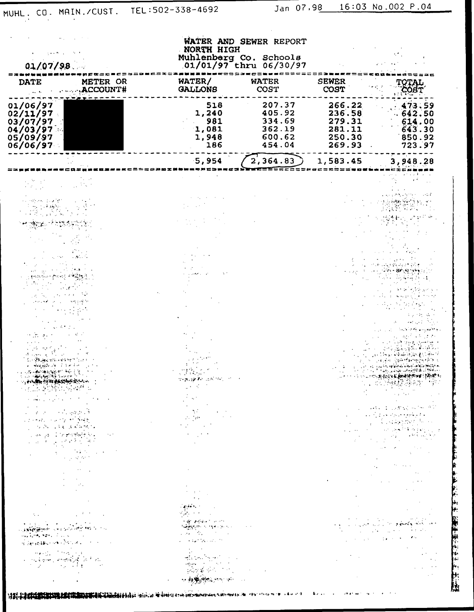上海 医阿尔伯氏病 医阿米里氏病的 医心理

| 01/07/98                                                             |                                                                                                                                                                                                                                                                                                                                                                                                                                                                                                                                                                                                                                                                                                                             | WATER AND SEWER REPORT<br>NORTH HIGH<br>Muhlenberg Co. Schools<br>01/01/97 thru 06/30/97                                                                                                                                                                                                                                                                                                                                                                                                                                                                              |                                                          |                                                          |                                                                                                                                                                                                                                                                                                                                                                                                                                                                                                                                                                                                                                                                                           |
|----------------------------------------------------------------------|-----------------------------------------------------------------------------------------------------------------------------------------------------------------------------------------------------------------------------------------------------------------------------------------------------------------------------------------------------------------------------------------------------------------------------------------------------------------------------------------------------------------------------------------------------------------------------------------------------------------------------------------------------------------------------------------------------------------------------|-----------------------------------------------------------------------------------------------------------------------------------------------------------------------------------------------------------------------------------------------------------------------------------------------------------------------------------------------------------------------------------------------------------------------------------------------------------------------------------------------------------------------------------------------------------------------|----------------------------------------------------------|----------------------------------------------------------|-------------------------------------------------------------------------------------------------------------------------------------------------------------------------------------------------------------------------------------------------------------------------------------------------------------------------------------------------------------------------------------------------------------------------------------------------------------------------------------------------------------------------------------------------------------------------------------------------------------------------------------------------------------------------------------------|
| <b>DATE</b>                                                          | METER OR<br>ACCOUNT#                                                                                                                                                                                                                                                                                                                                                                                                                                                                                                                                                                                                                                                                                                        | WATER/<br><b>GALLONS</b>                                                                                                                                                                                                                                                                                                                                                                                                                                                                                                                                              | <b>WATER</b><br>COST                                     | <b>SEWER</b><br>COST                                     | COBT <sup>.</sup>                                                                                                                                                                                                                                                                                                                                                                                                                                                                                                                                                                                                                                                                         |
| 01/06/97<br>02/11/97<br>03/07/97<br>04/03/97<br>05/09/97<br>06/06/97 |                                                                                                                                                                                                                                                                                                                                                                                                                                                                                                                                                                                                                                                                                                                             | 518<br>1,240<br>981<br>1,081<br>1,948<br>186                                                                                                                                                                                                                                                                                                                                                                                                                                                                                                                          | 207.37<br>405.92<br>334.69<br>362.19<br>600.62<br>454.04 | 266.22<br>236.58<br>279.31<br>281.11<br>250.30<br>269.93 | 473.59<br>.642.50<br>614.00<br>643.30<br>850.92<br>723.97                                                                                                                                                                                                                                                                                                                                                                                                                                                                                                                                                                                                                                 |
|                                                                      |                                                                                                                                                                                                                                                                                                                                                                                                                                                                                                                                                                                                                                                                                                                             | 5,954                                                                                                                                                                                                                                                                                                                                                                                                                                                                                                                                                                 | 2,364.83                                                 | 1,583.45                                                 | 3,948.28                                                                                                                                                                                                                                                                                                                                                                                                                                                                                                                                                                                                                                                                                  |
|                                                                      |                                                                                                                                                                                                                                                                                                                                                                                                                                                                                                                                                                                                                                                                                                                             |                                                                                                                                                                                                                                                                                                                                                                                                                                                                                                                                                                       |                                                          |                                                          |                                                                                                                                                                                                                                                                                                                                                                                                                                                                                                                                                                                                                                                                                           |
|                                                                      |                                                                                                                                                                                                                                                                                                                                                                                                                                                                                                                                                                                                                                                                                                                             |                                                                                                                                                                                                                                                                                                                                                                                                                                                                                                                                                                       |                                                          |                                                          |                                                                                                                                                                                                                                                                                                                                                                                                                                                                                                                                                                                                                                                                                           |
|                                                                      |                                                                                                                                                                                                                                                                                                                                                                                                                                                                                                                                                                                                                                                                                                                             |                                                                                                                                                                                                                                                                                                                                                                                                                                                                                                                                                                       |                                                          |                                                          |                                                                                                                                                                                                                                                                                                                                                                                                                                                                                                                                                                                                                                                                                           |
|                                                                      |                                                                                                                                                                                                                                                                                                                                                                                                                                                                                                                                                                                                                                                                                                                             |                                                                                                                                                                                                                                                                                                                                                                                                                                                                                                                                                                       |                                                          |                                                          |                                                                                                                                                                                                                                                                                                                                                                                                                                                                                                                                                                                                                                                                                           |
|                                                                      |                                                                                                                                                                                                                                                                                                                                                                                                                                                                                                                                                                                                                                                                                                                             |                                                                                                                                                                                                                                                                                                                                                                                                                                                                                                                                                                       |                                                          |                                                          |                                                                                                                                                                                                                                                                                                                                                                                                                                                                                                                                                                                                                                                                                           |
|                                                                      |                                                                                                                                                                                                                                                                                                                                                                                                                                                                                                                                                                                                                                                                                                                             |                                                                                                                                                                                                                                                                                                                                                                                                                                                                                                                                                                       |                                                          |                                                          |                                                                                                                                                                                                                                                                                                                                                                                                                                                                                                                                                                                                                                                                                           |
|                                                                      |                                                                                                                                                                                                                                                                                                                                                                                                                                                                                                                                                                                                                                                                                                                             |                                                                                                                                                                                                                                                                                                                                                                                                                                                                                                                                                                       |                                                          |                                                          |                                                                                                                                                                                                                                                                                                                                                                                                                                                                                                                                                                                                                                                                                           |
| وأبراءكم عمانة<br>المحادث ويواجها والمتعارف                          |                                                                                                                                                                                                                                                                                                                                                                                                                                                                                                                                                                                                                                                                                                                             |                                                                                                                                                                                                                                                                                                                                                                                                                                                                                                                                                                       |                                                          |                                                          |                                                                                                                                                                                                                                                                                                                                                                                                                                                                                                                                                                                                                                                                                           |
| والمستحيل والمتحافظة فالمحافظة والمتناوب                             |                                                                                                                                                                                                                                                                                                                                                                                                                                                                                                                                                                                                                                                                                                                             | <b>Service Control</b><br><b>SHANGER AND STREET</b><br>$\frac{1}{2} \left( \frac{1}{2} \right) \left( \frac{1}{2} \right) \left( \frac{1}{2} \right)$                                                                                                                                                                                                                                                                                                                                                                                                                 |                                                          |                                                          |                                                                                                                                                                                                                                                                                                                                                                                                                                                                                                                                                                                                                                                                                           |
| consideration of the state of                                        | a construction of the property of the<br>$\label{eq:2.1} \mathcal{L}=\mathcal{L}(\mathcal{L}(\mathcal{L}^{\mathcal{L}}))\cap \mathcal{L}(\mathcal{L}^{\mathcal{L}}(\mathcal{L}^{\mathcal{L}}(\mathcal{L}^{\mathcal{L}}))\cap \mathcal{H}^{\mathcal{L}}(\mathcal{L}^{\mathcal{L}})$<br>$\label{eq:1} \mathcal{L}_{\mathcal{A}}(\mathbf{w}) = \mathbf{p} \mathbf{p} - \mathbf{p} \mathbf{p} \mathbf{p} + \frac{1}{2} \frac{\partial \mathbf{p}}{\partial \mathbf{p}} \mathbf{p} + \frac{1}{2} \mathbf{p} \mathbf{p} \mathbf{p} + \frac{1}{2} \mathbf{p} \mathbf{p} \mathbf{p} + \frac{1}{2} \mathbf{p} \mathbf{p} \mathbf{p} + \frac{1}{2} \mathbf{p} \mathbf{p} \mathbf{p} + \frac{1}{2} \mathbf{p} \mathbf{p} \mathbf{p} +$ | $\label{eq:2.1} \frac{1}{2}\sum_{i=1}^n\frac{1}{2}\sum_{j=1}^n\frac{1}{2}\sum_{j=1}^n\frac{1}{2}\sum_{j=1}^n\frac{1}{2}\sum_{j=1}^n\frac{1}{2}\sum_{j=1}^n\frac{1}{2}\sum_{j=1}^n\frac{1}{2}\sum_{j=1}^n\frac{1}{2}\sum_{j=1}^n\frac{1}{2}\sum_{j=1}^n\frac{1}{2}\sum_{j=1}^n\frac{1}{2}\sum_{j=1}^n\frac{1}{2}\sum_{j=1}^n\frac{1}{2}\sum_{j=1}^n\$                                                                                                                                                                                                                  |                                                          |                                                          | 医水泥 医水杨酸盐 医梅毒 化硫酸盐<br>a a compositor de la provincia de la provincia de la provincia de la provincia de la provincia de la provincia<br>La provincia de la provincia de la provincia de la provincia de la provincia de la provincia de la provincia d                                                                                                                                                                                                                                                                                                                                                                                                                                    |
|                                                                      | र मार्ग के दूध रहे हैं हैं हैं<br>$\label{eq:2.1} \mathcal{L}_{\mathcal{A}}(x,y) = \frac{1}{2\pi i} \sum_{\substack{ \mathcal{A} \in \mathcal{A} \\ \mathcal{A} \in \mathcal{A} \\ \mathcal{A} \neq \mathcal{A}}} \mathcal{L}_{\mathcal{A}}(x,y) \mathcal{L}_{\mathcal{A}}(x,y) \mathcal{L}_{\mathcal{A}}(x,y)$                                                                                                                                                                                                                                                                                                                                                                                                             |                                                                                                                                                                                                                                                                                                                                                                                                                                                                                                                                                                       |                                                          |                                                          |                                                                                                                                                                                                                                                                                                                                                                                                                                                                                                                                                                                                                                                                                           |
|                                                                      | $\mathcal{L}_{\text{max}} = \frac{1}{2} \sum_{i=1}^{2} \mathcal{L}_{\text{max}}$                                                                                                                                                                                                                                                                                                                                                                                                                                                                                                                                                                                                                                            | $\mathcal{O}(\mathcal{O}(\log n))$ . The $\mathcal{O}(\log n)$<br>$\frac{1}{2} \int_{0}^{\infty} \frac{1}{\sqrt{2\pi}} \, \mathrm{d}x \, \mathrm{d}x$                                                                                                                                                                                                                                                                                                                                                                                                                 |                                                          |                                                          | $\label{eq:2.1} \begin{split} \mathcal{L}_{\text{max}}(\mathbf{r}) & = \mathcal{L}_{\text{max}}(\mathbf{r}) \mathcal{L}_{\text{max}}(\mathbf{r}) \\ & = \mathcal{L}_{\text{max}}(\mathbf{r}) \mathcal{L}_{\text{max}}(\mathbf{r}) \mathcal{L}_{\text{max}}(\mathbf{r}) \mathcal{L}_{\text{max}}(\mathbf{r}) \mathcal{L}_{\text{max}}(\mathbf{r}) \mathcal{L}_{\text{max}}(\mathbf{r}) \mathcal{L}_{\text{max}}(\mathbf{r}) \mathcal{L}_{\text{max}}(\mathbf{r}) \mathcal{L}_{\text{max}}(\mathbf$<br>$\mathcal{L}^{\mathcal{L}}(\mathcal{L}^{\mathcal{L}})$ and $\mathcal{L}^{\mathcal{L}}(\mathcal{L}^{\mathcal{L}})$ are the following the contributions of $\mathcal{L}^{\mathcal{L}}$ |
|                                                                      | $\label{eq:2} \begin{split} \mathcal{L}_{\text{max}} &= \frac{1}{2} \sum_{i=1}^{N} \mathcal{L}_{\text{max}} \left( \mathcal{L}_{\text{max}} \right) \,, \\ \mathcal{L}_{\text{max}} &= \frac{1}{2} \sum_{i=1}^{N} \mathcal{L}_{\text{max}} \left( \mathcal{L}_{\text{max}} \right) \,, \end{split}$                                                                                                                                                                                                                                                                                                                                                                                                                         | $\label{eq:2} \begin{split} \mathcal{F}^{\text{R}}_{\text{R}}(\mathbf{r}) = \mathcal{F}^{\text{R}}_{\text{R}}(\mathbf{r}) \mathcal{F}^{\text{R}}_{\text{R}}(\mathbf{r}) \,, \end{split}$                                                                                                                                                                                                                                                                                                                                                                              |                                                          |                                                          |                                                                                                                                                                                                                                                                                                                                                                                                                                                                                                                                                                                                                                                                                           |
|                                                                      | $\label{eq:2.1} \frac{1}{\sqrt{2}}\int_{\mathbb{R}^3}\frac{1}{\sqrt{2}}\left(\frac{1}{\sqrt{2}}\right)^2\left(\frac{1}{\sqrt{2}}\right)^2\left(\frac{1}{\sqrt{2}}\right)^2\left(\frac{1}{\sqrt{2}}\right)^2\left(\frac{1}{\sqrt{2}}\right)^2.$                                                                                                                                                                                                                                                                                                                                                                                                                                                                              | $\label{eq:2} \mathcal{L}(\mathbf{q},\mathbf{q},\mathbf{q},\mathbf{q}) = \mathcal{L}(\mathbf{q},\mathbf{q})$                                                                                                                                                                                                                                                                                                                                                                                                                                                          |                                                          |                                                          |                                                                                                                                                                                                                                                                                                                                                                                                                                                                                                                                                                                                                                                                                           |
|                                                                      | $\mathcal{A}(\mathcal{L})$ and $\mathcal{L}(\mathcal{L})$ and $\mathcal{L}(\mathcal{L})$ is a function of $\mathcal{L}(\mathcal{L})$<br>a <b>szloveni</b> k (a szlovenik program szlov                                                                                                                                                                                                                                                                                                                                                                                                                                                                                                                                      | 정부 아이들이 있다.<br><b>In the political Convertibility</b><br>机转换机 化对称分析 化分<br>$\label{eq:2.1} \frac{\partial}{\partial t} \frac{\partial}{\partial t} \frac{\partial}{\partial t} \frac{\partial}{\partial x} = \frac{\partial}{\partial x} \frac{\partial}{\partial x} \frac{\partial}{\partial x} + \frac{\partial}{\partial x} \frac{\partial}{\partial x} \frac{\partial}{\partial x}$                                                                                                                                                                                | <b>Contractor</b>                                        |                                                          |                                                                                                                                                                                                                                                                                                                                                                                                                                                                                                                                                                                                                                                                                           |
|                                                                      | <b>CALIFORNIA PRODUCTS</b><br><b>STARBOOK POLKER COLLECTION</b><br><b>Contract</b>                                                                                                                                                                                                                                                                                                                                                                                                                                                                                                                                                                                                                                          | a constantino de la constitución                                                                                                                                                                                                                                                                                                                                                                                                                                                                                                                                      |                                                          |                                                          | $\mathcal{L}_{\text{max}}$ and $\mathcal{L}_{\text{max}}$ and $\mathcal{L}_{\text{max}}$ and $\mathcal{L}_{\text{max}}$                                                                                                                                                                                                                                                                                                                                                                                                                                                                                                                                                                   |
|                                                                      | $\label{eq:4} \mathcal{L}(\mathbf{z},\mathbf{z}) = \mathcal{L}(\mathbf{z},\mathbf{z}) + \mathcal{L}(\mathbf{z},\mathbf{z}) = 0.$<br>a sa babba na babba na sa sa barangan na barangan na barangan na barangan na barangan na barangan na barangan<br>Kanadan na barangan na barangan na barangan na barangan na barangan na barangan na barangan na barangan na bar                                                                                                                                                                                                                                                                                                                                                         | $\frac{1}{2} \left( \frac{1}{2} \right)^2$<br>and a family and a series of the series.<br>All the series of the series of the series of the series of the series of the series of the series of the series<br>$\frac{1}{2\sqrt{2}}\sum_{i=1}^n\sum_{j=1}^n\frac{1}{2\sqrt{2}}\sum_{j=1}^n\frac{1}{2\sqrt{2}}\sum_{j=1}^n\frac{1}{2\sqrt{2}}\sum_{j=1}^n\frac{1}{2\sqrt{2}}\sum_{j=1}^n\frac{1}{2\sqrt{2}}\sum_{j=1}^n\frac{1}{2\sqrt{2}}\sum_{j=1}^n\frac{1}{2\sqrt{2}}\sum_{j=1}^n\frac{1}{2\sqrt{2}}\sum_{j=1}^n\frac{1}{2\sqrt{2}}\sum_{j=1}^n\frac{1}{2\sqrt{2}}$ |                                                          |                                                          |                                                                                                                                                                                                                                                                                                                                                                                                                                                                                                                                                                                                                                                                                           |
|                                                                      |                                                                                                                                                                                                                                                                                                                                                                                                                                                                                                                                                                                                                                                                                                                             | <b>Charles Communications</b>                                                                                                                                                                                                                                                                                                                                                                                                                                                                                                                                         |                                                          |                                                          |                                                                                                                                                                                                                                                                                                                                                                                                                                                                                                                                                                                                                                                                                           |

**1981-1-0 CPI SER SER DE COMBINANT DE LA CONSTANTIA DE LA CONSTANTIA DE LA CONSTANTIA DE LA CONSTANTIA DE LA CO**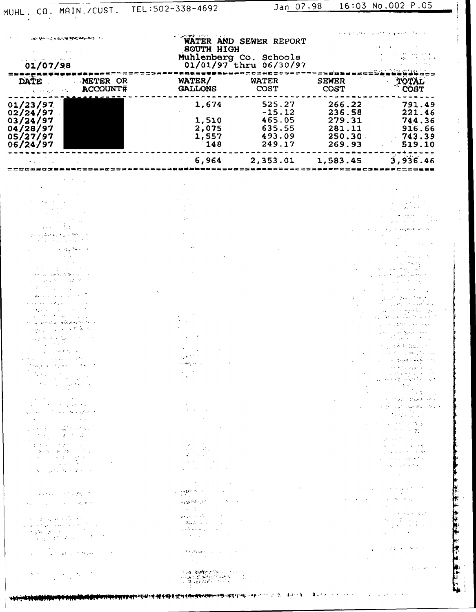**化分配法 全球系统 无情的 化单位** 

| <b>MAY BE STATE IN THE REPORT OF THE CALL AND</b>                                                                                                                                                                                                                                                                                                                                                                                                                                                                                                                                                                                                                                                                                                                                                                                                                                                                                                                                                                                                                                                                                                                                                                                                                                                                                                                                                                                                                                                                                                                                                                                                                                                                                                                                                                                                                                                                                                  |                                                                                                                                                                                                                                                                                                                                                    | <b>SOUTH HIGH</b>                                                                                                                                                                                                                                                                                                                                                                                                                                                                                                                                                                                                                                                                                                                                                                                                                                                                                                                                                                                                                                                                                                                                                                                                                                                                                                                                                                                                               | WATER AND SEWER REPORT                                     | and a state of the                                                                                                                                                                                                                                     |                                                                                                                                                                                                                                                                                                                                                                                                                                                                                                                                                                                                                                                                                                                                                                                                                                                                                                                                                                                                                                                                                                                                                                                                                                                                                                                                                                                                                                                                                                                       |  |
|----------------------------------------------------------------------------------------------------------------------------------------------------------------------------------------------------------------------------------------------------------------------------------------------------------------------------------------------------------------------------------------------------------------------------------------------------------------------------------------------------------------------------------------------------------------------------------------------------------------------------------------------------------------------------------------------------------------------------------------------------------------------------------------------------------------------------------------------------------------------------------------------------------------------------------------------------------------------------------------------------------------------------------------------------------------------------------------------------------------------------------------------------------------------------------------------------------------------------------------------------------------------------------------------------------------------------------------------------------------------------------------------------------------------------------------------------------------------------------------------------------------------------------------------------------------------------------------------------------------------------------------------------------------------------------------------------------------------------------------------------------------------------------------------------------------------------------------------------------------------------------------------------------------------------------------------------|----------------------------------------------------------------------------------------------------------------------------------------------------------------------------------------------------------------------------------------------------------------------------------------------------------------------------------------------------|---------------------------------------------------------------------------------------------------------------------------------------------------------------------------------------------------------------------------------------------------------------------------------------------------------------------------------------------------------------------------------------------------------------------------------------------------------------------------------------------------------------------------------------------------------------------------------------------------------------------------------------------------------------------------------------------------------------------------------------------------------------------------------------------------------------------------------------------------------------------------------------------------------------------------------------------------------------------------------------------------------------------------------------------------------------------------------------------------------------------------------------------------------------------------------------------------------------------------------------------------------------------------------------------------------------------------------------------------------------------------------------------------------------------------------|------------------------------------------------------------|--------------------------------------------------------------------------------------------------------------------------------------------------------------------------------------------------------------------------------------------------------|-----------------------------------------------------------------------------------------------------------------------------------------------------------------------------------------------------------------------------------------------------------------------------------------------------------------------------------------------------------------------------------------------------------------------------------------------------------------------------------------------------------------------------------------------------------------------------------------------------------------------------------------------------------------------------------------------------------------------------------------------------------------------------------------------------------------------------------------------------------------------------------------------------------------------------------------------------------------------------------------------------------------------------------------------------------------------------------------------------------------------------------------------------------------------------------------------------------------------------------------------------------------------------------------------------------------------------------------------------------------------------------------------------------------------------------------------------------------------------------------------------------------------|--|
| 01/07/98                                                                                                                                                                                                                                                                                                                                                                                                                                                                                                                                                                                                                                                                                                                                                                                                                                                                                                                                                                                                                                                                                                                                                                                                                                                                                                                                                                                                                                                                                                                                                                                                                                                                                                                                                                                                                                                                                                                                           |                                                                                                                                                                                                                                                                                                                                                    |                                                                                                                                                                                                                                                                                                                                                                                                                                                                                                                                                                                                                                                                                                                                                                                                                                                                                                                                                                                                                                                                                                                                                                                                                                                                                                                                                                                                                                 | Muhlenberg Co. Schools<br>01/01/97 thru 06/30/97           |                                                                                                                                                                                                                                                        |                                                                                                                                                                                                                                                                                                                                                                                                                                                                                                                                                                                                                                                                                                                                                                                                                                                                                                                                                                                                                                                                                                                                                                                                                                                                                                                                                                                                                                                                                                                       |  |
| DATE.<br><b>CONTRACT</b>                                                                                                                                                                                                                                                                                                                                                                                                                                                                                                                                                                                                                                                                                                                                                                                                                                                                                                                                                                                                                                                                                                                                                                                                                                                                                                                                                                                                                                                                                                                                                                                                                                                                                                                                                                                                                                                                                                                           | METER OR<br>ACCOUNT#                                                                                                                                                                                                                                                                                                                               | WATER/<br><b>GALLONS</b>                                                                                                                                                                                                                                                                                                                                                                                                                                                                                                                                                                                                                                                                                                                                                                                                                                                                                                                                                                                                                                                                                                                                                                                                                                                                                                                                                                                                        | <b>WATER</b><br>COST                                       | <b>SEWER</b><br><b>COST</b>                                                                                                                                                                                                                            | <b>TOTAL</b><br>COST                                                                                                                                                                                                                                                                                                                                                                                                                                                                                                                                                                                                                                                                                                                                                                                                                                                                                                                                                                                                                                                                                                                                                                                                                                                                                                                                                                                                                                                                                                  |  |
| 01/23/97<br>02/24/97<br>03/24/97<br>04/28/97<br>05/27/97<br>06/24/97                                                                                                                                                                                                                                                                                                                                                                                                                                                                                                                                                                                                                                                                                                                                                                                                                                                                                                                                                                                                                                                                                                                                                                                                                                                                                                                                                                                                                                                                                                                                                                                                                                                                                                                                                                                                                                                                               |                                                                                                                                                                                                                                                                                                                                                    | 1,674<br>1,510<br>2,075<br>1,557<br>148                                                                                                                                                                                                                                                                                                                                                                                                                                                                                                                                                                                                                                                                                                                                                                                                                                                                                                                                                                                                                                                                                                                                                                                                                                                                                                                                                                                         | 525.27<br>$-15.12$<br>465.05<br>635.55<br>493.09<br>249.17 | 266.22<br>236.58<br>279.31<br>281.11<br>250.30<br>269.93                                                                                                                                                                                               | 791.49<br>221.46<br>744.36<br>916.66<br>743.39<br>519.10                                                                                                                                                                                                                                                                                                                                                                                                                                                                                                                                                                                                                                                                                                                                                                                                                                                                                                                                                                                                                                                                                                                                                                                                                                                                                                                                                                                                                                                              |  |
|                                                                                                                                                                                                                                                                                                                                                                                                                                                                                                                                                                                                                                                                                                                                                                                                                                                                                                                                                                                                                                                                                                                                                                                                                                                                                                                                                                                                                                                                                                                                                                                                                                                                                                                                                                                                                                                                                                                                                    |                                                                                                                                                                                                                                                                                                                                                    | 6,964                                                                                                                                                                                                                                                                                                                                                                                                                                                                                                                                                                                                                                                                                                                                                                                                                                                                                                                                                                                                                                                                                                                                                                                                                                                                                                                                                                                                                           | 2,353.01                                                   | 1,583.45                                                                                                                                                                                                                                               | 3,936.46                                                                                                                                                                                                                                                                                                                                                                                                                                                                                                                                                                                                                                                                                                                                                                                                                                                                                                                                                                                                                                                                                                                                                                                                                                                                                                                                                                                                                                                                                                              |  |
| 的现在分词再次拿出 网络人名英格兰人<br>e na mezhoù ar<br>$\mathcal{O}(\mathcal{O}_\mathcal{C})$ , $\mathcal{O}(\mathcal{O}_\mathcal{C})$ , $\mathcal{O}(\mathcal{O}_\mathcal{C})$<br>as a sample was pro-<br>an an C<br>الموارد والمتعارف والمتوارد<br>$\bullet$ , and $\bullet$ , and $\bullet$ , and $\bullet$<br>e i granda dosa este te<br>$\left\langle \mathbf{x}_{t+1}, \ldots, \mathbf{x}_{t+1}, \ldots, \mathbf{x}_{t} \right\rangle$ for $\mathcal{D}_{\mathcal{A}}$<br>$\mathcal{L}_{\mathcal{A},\mathcal{B}}$ , we define the contribution of $\mathcal{A}$<br>control and process to the<br>فالمحادث المستوفرات ويفرق                                                                                                                                                                                                                                                                                                                                                                                                                                                                                                                                                                                                                                                                                                                                                                                                                                                                                                                                                                                                                                                                                                                                                                                                                                                                                                                                  | <b>Service</b> Story<br>and the control                                                                                                                                                                                                                                                                                                            | $\mathcal{L}_{\mathcal{L}}$<br>as 1985 for all                                                                                                                                                                                                                                                                                                                                                                                                                                                                                                                                                                                                                                                                                                                                                                                                                                                                                                                                                                                                                                                                                                                                                                                                                                                                                                                                                                                  |                                                            |                                                                                                                                                                                                                                                        | victory and money<br>in and copyright that<br>Special Security<br>والحاموه والمتبايع والارتياب<br>state of the experimental<br>a politica de la facta de la construction de la construction de la construction de la construction d<br>and the states of the sea<br>والمعادل وأعوج الموارد والمتار<br>the part of the<br>计可分布 机自动工人<br>and the state with<br>$\omega_{\rm{eff}}$ , we see the second field $\omega_{\rm{eff}}$ ,                                                                                                                                                                                                                                                                                                                                                                                                                                                                                                                                                                                                                                                                                                                                                                                                                                                                                                                                                                                                                                                                                      |  |
| $\mathcal{O}(2\pi\epsilon^2)$ , and $\mathcal{O}(2\pi\epsilon^2)$ , and $\mathcal{O}(2\pi\epsilon^2)$ , $\mathcal{O}(2\pi\epsilon^2)$<br>$\mathcal{L}^{\mathcal{L}}(\mathcal{L}^{\mathcal{L}})$ and $\mathcal{L}^{\mathcal{L}}(\mathcal{L}^{\mathcal{L}})$ and $\mathcal{L}^{\mathcal{L}}(\mathcal{L}^{\mathcal{L}})$<br>$\mathcal{L}(\mathbf{q})$ . As we can also be a set of $\mathcal{L}(\mathbf{q})$<br>$\mathcal{L}_{\text{max}}$ , where $\mathcal{L}_{\text{max}}$ and $\mathcal{L}_{\text{max}}$<br>والمحكم والمتعارضة المعارية المتحدث والمتناوب<br>$\mathcal{A}^{\mathcal{A}}$ and $\mathcal{A}^{\mathcal{A}}$ are $\mathcal{A}^{\mathcal{A}}$ . In the $\mathcal{A}^{\mathcal{A}}$<br>$\mathcal{L}(\mathcal{A})$ , where $\mathcal{L}(\mathcal{A})$ is a function of $\mathcal{A}$<br>$\label{eq:2.1} \frac{1}{2} \left( \frac{1}{2} \left( \frac{1}{2} \right) \right) \left( \frac{1}{2} \left( \frac{1}{2} \right) \right) \left( \frac{1}{2} \left( \frac{1}{2} \right) \right) \left( \frac{1}{2} \left( \frac{1}{2} \right) \right) \left( \frac{1}{2} \right) \left( \frac{1}{2} \right) \left( \frac{1}{2} \right) \left( \frac{1}{2} \right) \left( \frac{1}{2} \right) \left( \frac{1}{2} \right) \left( \frac{1}{2} \right) \left( \frac{1}{2$<br>caster of the construction<br>$\sim$ 10 $\Delta$ , and 10 $\sim$ 10 $\%$<br>$\label{eq:2} \mathcal{L}_{\mathbf{A}}(\mathbf{x}) = \mathcal{L}_{\mathbf{A}}(\mathbf{x}) \mathcal{L}_{\mathbf{A}}(\mathbf{x}) = \mathcal{L}_{\mathbf{A}}(\mathbf{x}) \mathcal{L}_{\mathbf{A}}(\mathbf{x})$<br>$\mathcal{A}^{\mathcal{A}}$ and $\mathcal{A}^{\mathcal{A}}$ are the set of $\mathcal{A}$<br>$\mathcal{O}(\mathcal{O}(\log n))$ . The set of $\mathcal{O}(\log n)$<br>$\mathcal{O}(1)$ and $\mathcal{O}(1)$ . And $\mathcal{O}(1)$ , $\mathcal{O}(1)$<br>$\mathcal{L}(\mathbf{x}) = \mathcal{L}(\mathbf{x})$ , where $\mathcal{L}(\mathbf{x})$ is the $\mathcal{L}(\mathbf{x})$ | $\mathcal{L}(\mathcal{A})$ and $\mathcal{L}(\mathcal{A})$ is the contribution of the $\mathcal{L}(\mathcal{A})$                                                                                                                                                                                                                                    | $\mathcal{O}(\mathbb{Z}^2)$ and $\mathcal{O}(\mathbb{Z}^2)$<br>$\mathcal{O}(\mathcal{A})$ , we can also also also also also also also<br>$\label{eq:2} \mathcal{L}_{\mathcal{A}}(\mathcal{A}) = \mathcal{L}_{\mathcal{A}}(\mathcal{A}) \mathcal{L}_{\mathcal{A}}(\mathcal{A})$<br>$\label{eq:2.1} \mathcal{L}(\mathcal{L}^{\text{max}}_{\mathcal{L}}(\mathcal{L}^{\text{max}}_{\mathcal{L}}),\mathcal{L}^{\text{max}}_{\mathcal{L}}(\mathcal{L}^{\text{max}}_{\mathcal{L}}))$<br>$\mathcal{O}(\mathcal{N}(\mathcal{F}))$ , where $\mathcal{O}(\mathcal{F})$ is the $\mathcal{O}(\mathcal{F})$<br>$\mathcal{L}_{\mathcal{A}}$ and $\mathcal{L}_{\mathcal{A}}$ are the set of the set of the set of $\mathcal{L}_{\mathcal{A}}$<br>$\mathcal{O}(\mathcal{O}(2n))$ . The set of the set of $\mathcal{O}(\mathcal{O}(n))$                                                                                                                                                                                                                                                                                                                                                                                                                                                                                                                                                                                                           |                                                            | and a state<br>$\mathcal{O}(\mathbb{R}^n)$ . The contribution of the contribution of the contribution of the contribution of the contribution of the contribution of the contribution of the contribution of the contribution of the contribution of t | $\mathcal{A}=\{x\in\mathcal{A}: x\in\mathcal{A}\}$ with $\mathcal{A}=\mathcal{A}$ , $\mathcal{A}=\mathcal{A}$<br>$\label{eq:2.1} \mathcal{L}(\mathcal{L}^{\mathcal{L}}(\mathcal{L}^{\mathcal{L}}(\mathcal{L}^{\mathcal{L}}(\mathcal{L}^{\mathcal{L}}(\mathcal{L}^{\mathcal{L}}(\mathcal{L}^{\mathcal{L}}(\mathcal{L}^{\mathcal{L}}(\mathcal{L}^{\mathcal{L}}(\mathcal{L}^{\mathcal{L}}(\mathcal{L}^{\mathcal{L}}(\mathcal{L}^{\mathcal{L}}(\mathcal{L}^{\mathcal{L}}(\mathcal{L}^{\mathcal{L}}(\mathcal{L}^{\mathcal{L}}(\mathcal{L}^{\mathcal{L}}(\mathcal{L}^{\mathcal$<br>化二氯化二氯化物 计数据文件编码 机分布<br>$\label{eq:2} \mathcal{L}_{\mathcal{A}}(\mathcal{A}) = \mathcal{L}_{\mathcal{A}}(\mathcal{A}) \mathcal{L}_{\mathcal{A}}(\mathcal{A})$<br>$\mathcal{L}_{\mathcal{A}}$ , where $\mathcal{L}_{\mathcal{A}}$ is the set of $\mathcal{A}$<br>$\mathcal{L}_{\text{max}} \in \mathbb{C}^{n \times n} \times \mathbb{R}$ .<br>$\mathcal{L}^{\mathcal{L}}(\mathcal{L}^{\mathcal{L}})$ is the function of the $\mathcal{L}^{\mathcal{L}}(\mathcal{L}^{\mathcal{L}})$<br>$\mathcal{L}^{\mathcal{L}}$ and $\mathcal{L}^{\mathcal{L}}$ are $\mathcal{L}^{\mathcal{L}}$ . The set of $\mathcal{L}^{\mathcal{L}}$<br>$\sim$ 100 km km s $^{-1}$ and $\sim$<br>$\sim 10^{-1}$ and $\sim 10^{-1}$ and $\sim 10^{-1}$<br>$\mathcal{L}_{\mathcal{A}}$ is a sequence of the $\mathcal{L}_{\mathcal{A}}$<br>$\mathcal{L}^{\text{max}}_{\text{max}}$ and $\mathcal{L}^{\text{max}}_{\text{max}}$<br>contract and a series of the State |  |
| $\alpha = \frac{1}{2}$ , and the second contribution $\alpha$<br>والمحارب المتعارف المعقب المكونة والمعواري<br>$\mathcal{O}_\mathbf{p}$ is the second contribution of $\mathcal{O}_\mathbf{p}$                                                                                                                                                                                                                                                                                                                                                                                                                                                                                                                                                                                                                                                                                                                                                                                                                                                                                                                                                                                                                                                                                                                                                                                                                                                                                                                                                                                                                                                                                                                                                                                                                                                                                                                                                     | $\mathcal{A}$ and $\mathcal{A}$ are defined as $\mathcal{A}$ . In the $\mathcal{A}$<br>$\label{eq:1} \mathcal{L}_{\text{max}} = \frac{1}{2} \sum_{i=1}^{N} \mathcal{L}_{\text{max}} \left( \mathcal{L}_{\text{max}} \left( \mathcal{L}_{\text{max}} \right) \right) \left( \mathcal{L}_{\text{max}} \right)$                                       | $\label{eq:2.1} \begin{split} \mathbf{z} &\in \mathbb{R}^{n}\times \mathbb{R}^{n}\times \mathbb{R}^{n}\times \mathbb{R}^{n}\times \mathbb{R}^{n}\times \mathbb{R}^{n}\times \mathbb{R}^{n}\times \mathbb{R}^{n}\times \mathbb{R}^{n}\times \mathbb{R}^{n}\times \mathbb{R}^{n}\times \mathbb{R}^{n}\times \mathbb{R}^{n}\times \mathbb{R}^{n}\times \mathbb{R}^{n}\times \mathbb{R}^{n}\times \mathbb{R}^{n}\times \mathbb{R}^{n}\times \mathbb{R}^{n}\times \mathbb{R}^{$<br>$\label{eq:Ricci} \begin{array}{l} \mathbf{d} \mathbf{Q} \mathbf{d} \mathbf{d} \mathbf{d} \mathbf{d} \mathbf{d} \mathbf{d} \mathbf{d} \mathbf{d} \mathbf{d} \mathbf{d} \mathbf{d} \mathbf{d} \mathbf{d} \mathbf{d} \mathbf{d} \mathbf{d} \mathbf{d} \mathbf{d} \mathbf{d} \mathbf{d} \mathbf{d} \mathbf{d} \mathbf{d} \mathbf{d} \mathbf{d} \mathbf{d} \mathbf{d} \mathbf{d} \mathbf{d} \mathbf{d} \mathbf{d} \mathbf{d}$<br>a politik kongres e politik e servere e servere e servere e politik e politik e politik e politik e politik e<br>E politik e politik e politik e politik e politik e politik e politik e politik e politik e politik e politik<br>de <del>presen</del> ta de la componenta<br>Altres de la componenta de la componenta del proposto de la componenta del proposto de la componenta del propos<br>Altre de la componenta de la componenta de la componenta de la componenta de la<br><b>Sun contentibus consumers</b> |                                                            |                                                                                                                                                                                                                                                        | $\label{eq:2} \begin{split} \mathcal{L}_{\text{eff}}(\mathbf{r}) = \mathcal{L}_{\text{eff}}(\mathbf{r}) + \mathcal{L}_{\text{eff}}(\mathbf{r}) \mathcal{L}_{\text{eff}}(\mathbf{r}) \\ \mathcal{L}_{\text{eff}}(\mathbf{r}) = \mathcal{L}_{\text{eff}}(\mathbf{r}) + \mathcal{L}_{\text{eff}}(\mathbf{r}) \mathcal{L}_{\text{eff}}(\mathbf{r}) \end{split}$<br>しょうしゃ しょうようほかい わやめの<br>the contract of the contract of the contract of<br>$\sim 10^{-10}$ , $\sim 10^{10}$ , $\sim 10^{10}$ , $\sim 10^{10}$<br>$\Delta \mathcal{L} = \mathcal{L} \mathcal{L} \mathcal{L} \mathcal{L} \mathcal{L} \mathcal{L} \mathcal{L} \mathcal{L}$<br>$\sim 1.8$ Mpc $\sim 10^{-10}$                                                                                                                                                                                                                                                                                                                                                                                                                                                                                                                                                                                                                                                                                                                                                                                                                                               |  |
|                                                                                                                                                                                                                                                                                                                                                                                                                                                                                                                                                                                                                                                                                                                                                                                                                                                                                                                                                                                                                                                                                                                                                                                                                                                                                                                                                                                                                                                                                                                                                                                                                                                                                                                                                                                                                                                                                                                                                    | $\label{eq:2.1} \sum_{i=1}^n \sum_{j=1}^n \frac{1}{j!} \sum_{j=1}^n \sum_{j=1}^n \frac{1}{j!} \sum_{j=1}^n \frac{1}{j!} \sum_{j=1}^n \frac{1}{j!} \sum_{j=1}^n \frac{1}{j!} \sum_{j=1}^n \frac{1}{j!} \sum_{j=1}^n \frac{1}{j!} \sum_{j=1}^n \frac{1}{j!} \sum_{j=1}^n \frac{1}{j!} \sum_{j=1}^n \frac{1}{j!} \sum_{j=1}^n \frac{1}{j!} \sum_{j=1$ | သည်ရှိရေး မြန်မာရေး ရေးများ (၂၂၂၂)<br>(၁) (အမျိုးရေး ရေးများ (၂၂၁၂)                                                                                                                                                                                                                                                                                                                                                                                                                                                                                                                                                                                                                                                                                                                                                                                                                                                                                                                                                                                                                                                                                                                                                                                                                                                                                                                                                             |                                                            |                                                                                                                                                                                                                                                        |                                                                                                                                                                                                                                                                                                                                                                                                                                                                                                                                                                                                                                                                                                                                                                                                                                                                                                                                                                                                                                                                                                                                                                                                                                                                                                                                                                                                                                                                                                                       |  |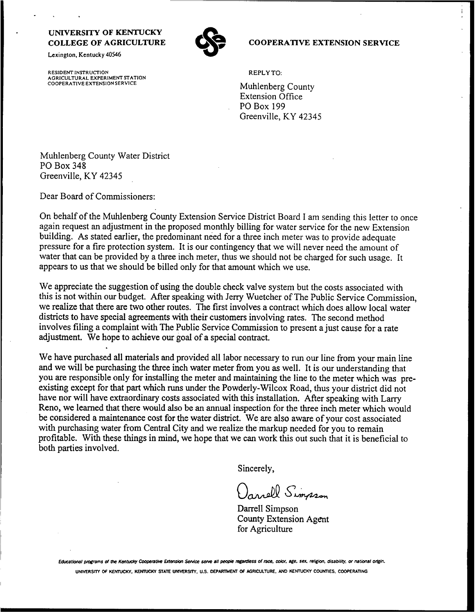Lexington, Kentucky 40546

RESIDENT INSTRUCTION AGRICULTURAL EXPERIMENT STATION COOPERATIVE EXTENSION SERVICE



### **COOPERATIVE EXTENSION SERVICE**

REPLY TO:

Muhlenberg County Extension Office PO Box 199 Greenville, KY 42345

Muhlenberg County Water District PO Box 348 Greenville, KY 42345

Dear Board of Commissioners:

On behalf of the Muhlenberg County Extension Service District Board <sup>I</sup> am sending this letter to once again request an adjustment in the proposed monthly billing for water service for the new Extension building. As stated earlier, the predominant need for a three inch meter was to provide adequate pressure for a fire protection system. It is our contingency that we will never need the amount of water that can be provided by a three inch meter, thus we should not be charged for such usage. It appears to us that we should be billed only for that amount which we use.

We appreciate the suggestion of using the double check valve system but the costs associated with this is not within our budget. After speaking with Jerry Wuetcher of The Public Service Commission, we realize that there are two other routes. The first involves a contract which does allow local water districts to have special agreements with their customers involving rates. The second method involves filing a complaint with The Public Service Commission to present a just cause for a rate adjustment. We hope to achieve our goal of a special contract.

We have purchased all materials and provided all labor necessary to run our line from your main line and we will be purchasing the three inch water meter from you as well. It is our understanding that you are responsible only for installing the meter and maintaining the line to the meter which was preexisting except for that part which runs under the Powderly-Wilcox Road, thus your district did not have nor will have extraordinary costs associated with this installation. After speaking with Larry Reno, we learned that there would also be an annual inspection for the three inch meter which would be considered a maintenance cost for the water district. We are also aware of your cost associated with purchasing water from Central City and we realize the markup needed for you to remain profitable. With these things in mind, we hope that we can work this out such that it is beneficial to both parties involved.

Sincerely,

Ornell Simpson

Darrell Simpson County Extension Agent for Agriculture

Educational programs of the Kentucky Cooperative Extension Service serve all people regardless of race, color, age. sex, religion, disability, or national origin. UNIVERSITY OF KENTUCKY, KENTUCKY STATE UNIVERSITY, U.S. DEPARTMENT OF AGRICULTURE. AND KENTUCKY COUNTIES, COOPERATING